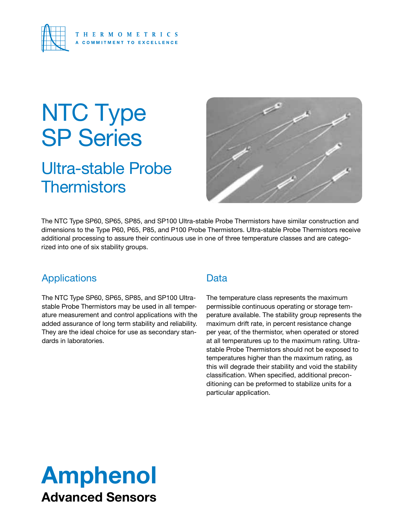

# NTC Type SP Series

## Ultra-stable Probe **Thermistors**



The NTC Type SP60, SP65, SP85, and SP100 Ultra-stable Probe Thermistors have similar construction and dimensions to the Type P60, P65, P85, and P100 Probe Thermistors. Ultra-stable Probe Thermistors receive additional processing to assure their continuous use in one of three temperature classes and are categorized into one of six stability groups.

#### Applications

The NTC Type SP60, SP65, SP85, and SP100 Ultrastable Probe Thermistors may be used in all temperature measurement and control applications with the added assurance of long term stability and reliability. They are the ideal choice for use as secondary standards in laboratories.

#### **Data**

The temperature class represents the maximum permissible continuous operating or storage temperature available. The stability group represents the maximum drift rate, in percent resistance change per year, of the thermistor, when operated or stored at all temperatures up to the maximum rating. Ultrastable Probe Thermistors should not be exposed to temperatures higher than the maximum rating, as this will degrade their stability and void the stability classification. When specified, additional preconditioning can be preformed to stabilize units for a particular application.

## Amphenol Advanced Sensors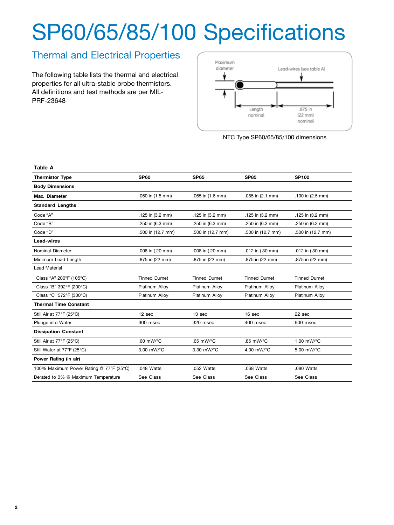# SP60/65/85/100 Specifications

### Thermal and Electrical Properties

The following table lists the thermal and electrical properties for all ultra-stable probe thermistors. All definitions and test methods are per MIL-PRF-23648

**Table A**



NTC Type SP60/65/85/100 dimensions

| <b>Thermistor Type</b>                  | <b>SP60</b>                              | <b>SP65</b>                              | <b>SP85</b>         | <b>SP100</b>        |  |  |
|-----------------------------------------|------------------------------------------|------------------------------------------|---------------------|---------------------|--|--|
| <b>Body Dimensions</b>                  |                                          |                                          |                     |                     |  |  |
| Max. Diameter                           | .060 in (1.5 mm)                         | .065 in (1.6 mm)                         | .085 in (2.1 mm)    | .100 in (2.5 mm)    |  |  |
| <b>Standard Lengths</b>                 |                                          |                                          |                     |                     |  |  |
| Code "A"                                | .125 in (3.2 mm)                         | .125 in (3.2 mm)                         | .125 in (3.2 mm)    | .125 in (3.2 mm)    |  |  |
| Code "B"                                | .250 in (6.3 mm)                         | .250 in (6.3 mm)                         | .250 in (6.3 mm)    | .250 in (6.3 mm)    |  |  |
| Code "D"                                | .500 in (12.7 mm)                        | .500 in (12.7 mm)                        | .500 in (12.7 mm)   | .500 in (12.7 mm)   |  |  |
| <b>Lead-wires</b>                       |                                          |                                          |                     |                     |  |  |
| Nominal Diameter                        | .008 in (.20 mm)                         | .008 in (.20 mm)                         | .012 in (.30 mm)    | .012 in (.30 mm)    |  |  |
| Minimum Lead Length                     | .875 in (22 mm)                          | .875 in (22 mm)                          | .875 in (22 mm)     | .875 in (22 mm)     |  |  |
| <b>Lead Material</b>                    |                                          |                                          |                     |                     |  |  |
| Class "A" 200°F (105°C)                 | <b>Tinned Dumet</b>                      | <b>Tinned Dumet</b>                      | <b>Tinned Dumet</b> | <b>Tinned Dumet</b> |  |  |
| Class "B" 392°F (200°C)                 | Platinum Alloy                           | Platinum Alloy                           | Platinum Alloy      | Platinum Alloy      |  |  |
| Class "C" 572°F (300°C)                 | Platinum Alloy                           | Platinum Alloy                           | Platinum Alloy      | Platinum Alloy      |  |  |
| <b>Thermal Time Constant</b>            |                                          |                                          |                     |                     |  |  |
| Still Air at 77°F (25°C)                | 12 <sub>sec</sub>                        | 13 <sub>sec</sub>                        | 16 <sub>sec</sub>   | $22$ sec            |  |  |
| Plunge into Water                       | 300 msec                                 | 320 msec                                 | 400 msec            | 600 msec            |  |  |
| <b>Dissipation Constant</b>             |                                          |                                          |                     |                     |  |  |
| Still Air at 77°F (25°C)                | .60 $mW$ <sup><math>\circ</math></sup> C | .65 $mW$ <sup><math>\circ</math></sup> C | .85 mW/°C           | 1.00 mW/°C          |  |  |
| Still Water at 77°F (25°C)              | 3.00 mW/°C                               | 3.30 mW/°C                               | 4.00 mW/°C          | 5.00 mW/°C          |  |  |
| Power Rating (in air)                   |                                          |                                          |                     |                     |  |  |
| 100% Maximum Power Rating @ 77°F (25°C) | .048 Watts                               | .052 Watts                               | .068 Watts          | .080 Watts          |  |  |
| Derated to 0% @ Maximum Temperature     | See Class                                | See Class                                | See Class           | See Class           |  |  |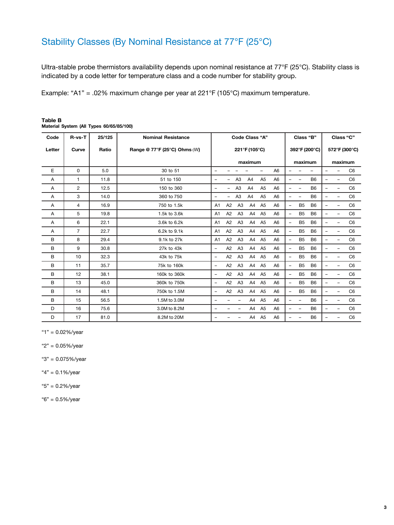### Stability Classes (By Nominal Resistance at 77°F (25°C)

Ultra-stable probe thermistors availability depends upon nominal resistance at 77°F (25°C). Stability class is indicated by a code letter for temperature class and a code number for stability group.

Example: "A1" = .02% maximum change per year at 221°F (105°C) maximum temperature.

| Code   | $R-vs-T$       | 25/125 | <b>Nominal Resistance</b>    | <b>Code Class "A"</b>    |                |                          |                |                | Class "B"      |                          |                          | Class "C"      |                          |                          |                |
|--------|----------------|--------|------------------------------|--------------------------|----------------|--------------------------|----------------|----------------|----------------|--------------------------|--------------------------|----------------|--------------------------|--------------------------|----------------|
| Letter | Curve          | Ratio  | Range @ 77°F (25°C) Ohms (W) | 221°F (105°C)            |                |                          |                |                | 392°F (200°C)  |                          |                          | 572°F (300°C)  |                          |                          |                |
|        |                |        |                              | maximum                  |                |                          |                | maximum        |                |                          | maximum                  |                |                          |                          |                |
| Е      | 0              | 5.0    | 30 to 51                     | $\overline{\phantom{0}}$ |                |                          |                | ÷,             | A <sub>6</sub> |                          |                          |                |                          | L.                       | C <sub>6</sub> |
| Α      | 1              | 11.8   | 51 to 150                    |                          |                | A <sub>3</sub>           | A4             | A <sub>5</sub> | A <sub>6</sub> | $\overline{\phantom{0}}$ | ۳                        | B <sub>6</sub> |                          |                          | C <sub>6</sub> |
| Α      | 2              | 12.5   | 150 to 360                   | $\qquad \qquad -$        | Ξ.             | A <sub>3</sub>           | A4             | A <sub>5</sub> | A <sub>6</sub> | -                        | $\qquad \qquad -$        | <b>B6</b>      | $\overline{\phantom{0}}$ | -                        | C <sub>6</sub> |
| Α      | 3              | 14.0   | 360 to 750                   | $\overline{\phantom{0}}$ | Ξ.             | A <sub>3</sub>           | A <sub>4</sub> | A <sub>5</sub> | A <sub>6</sub> | $\overline{\phantom{0}}$ | $\overline{\phantom{0}}$ | B <sub>6</sub> | $\overline{\phantom{m}}$ |                          | C <sub>6</sub> |
| Α      | 4              | 16.9   | 750 to 1.5k                  | A1                       | A2             | A <sub>3</sub>           | A4             | A <sub>5</sub> | A <sub>6</sub> | $\overline{\phantom{0}}$ | B <sub>5</sub>           | B <sub>6</sub> |                          |                          | C <sub>6</sub> |
| Α      | 5              | 19.8   | 1.5k to 3.6k                 | A1                       | A <sub>2</sub> | A <sub>3</sub>           | A4             | A <sub>5</sub> | A <sub>6</sub> | $\overline{\phantom{m}}$ | B <sub>5</sub>           | B <sub>6</sub> | $\overline{\phantom{0}}$ | $\overline{\phantom{0}}$ | C <sub>6</sub> |
| A      | 6              | 22.1   | 3.6k to 6.2k                 | A <sub>1</sub>           | A <sub>2</sub> | A <sub>3</sub>           | A <sub>4</sub> | A <sub>5</sub> | A <sub>6</sub> | $\overline{\phantom{a}}$ | B <sub>5</sub>           | B <sub>6</sub> | $\overline{\phantom{m}}$ |                          | C <sub>6</sub> |
| Α      | $\overline{7}$ | 22.7   | 6.2k to 9.1k                 | A1                       | A2             | A <sub>3</sub>           | A4             | A <sub>5</sub> | A <sub>6</sub> | $\overline{\phantom{a}}$ | B <sub>5</sub>           | B <sub>6</sub> |                          |                          | C <sub>6</sub> |
| в      | 8              | 29.4   | 9.1k to 27k                  | A1                       | A <sub>2</sub> | A <sub>3</sub>           | A4             | A <sub>5</sub> | A6             | $\overline{\phantom{a}}$ | B <sub>5</sub>           | B <sub>6</sub> | $\overline{\phantom{0}}$ | -                        | C <sub>6</sub> |
| B      | 9              | 30.8   | 27k to 43k                   |                          | A <sub>2</sub> | A <sub>3</sub>           | A4             | A <sub>5</sub> | A <sub>6</sub> | $\overline{\phantom{a}}$ | B <sub>5</sub>           | B <sub>6</sub> |                          |                          | C <sub>6</sub> |
| B      | 10             | 32.3   | 43k to 75k                   | ۳                        | A2             | A <sub>3</sub>           | A4             | A <sub>5</sub> | A <sub>6</sub> | $\overline{\phantom{0}}$ | B <sub>5</sub>           | B <sub>6</sub> | $\overline{\phantom{0}}$ |                          | C <sub>6</sub> |
| в      | 11             | 35.7   | 75k to 160k                  | $\overline{\phantom{0}}$ | A <sub>2</sub> | A <sub>3</sub>           | A4             | A <sub>5</sub> | A6             | $\overline{\phantom{a}}$ | B <sub>5</sub>           | B <sub>6</sub> | $\overline{\phantom{m}}$ | L.                       | C <sub>6</sub> |
| B      | 12             | 38.1   | 160k to 360k                 | -                        | A <sub>2</sub> | A <sub>3</sub>           | A4             | A <sub>5</sub> | A <sub>6</sub> | $\qquad \qquad -$        | B <sub>5</sub>           | B <sub>6</sub> |                          |                          | C <sub>6</sub> |
| B      | 13             | 45.0   | 360k to 750k                 | ۳                        | A2             | A <sub>3</sub>           | A4             | A <sub>5</sub> | A <sub>6</sub> | $\overline{\phantom{a}}$ | B <sub>5</sub>           | B <sub>6</sub> | $\overline{\phantom{0}}$ | ۰                        | C <sub>6</sub> |
| B      | 14             | 48.1   | 750k to 1.5M                 | $\equiv$                 | A <sub>2</sub> | A3                       | A4             | A <sub>5</sub> | A <sub>6</sub> | $\overline{\phantom{a}}$ | B <sub>5</sub>           | B <sub>6</sub> | $\overline{\phantom{m}}$ | $\overline{\phantom{0}}$ | C <sub>6</sub> |
| в      | 15             | 56.5   | 1.5M to 3.0M                 |                          |                |                          | A4             | A <sub>5</sub> | A <sub>6</sub> | $\overline{\phantom{m}}$ | -                        | B <sub>6</sub> |                          |                          | C <sub>6</sub> |
| D      | 16             | 75.6   | 3.0M to 8.2M                 | $\overline{\phantom{0}}$ |                | $\overline{\phantom{0}}$ | A4             | A <sub>5</sub> | A6             | $\overline{\phantom{m}}$ | $\qquad \qquad -$        | B <sub>6</sub> | $\overline{\phantom{m}}$ |                          | C <sub>6</sub> |
| D      | 17             | 81.0   | 8.2M to 20M                  |                          |                |                          | A4             | A <sub>5</sub> | A <sub>6</sub> | $\overline{\phantom{0}}$ | ۳                        | B <sub>6</sub> |                          |                          | C <sub>6</sub> |

| Table B                                  |  |
|------------------------------------------|--|
| Material System (All Types 60/65/85/100) |  |

"1" = 0.02%/year

"2" = 0.05%/year

"3" = 0.075%/year

"4" = 0.1%/year

"5" = 0.2%/year

"6" = 0.5%/year